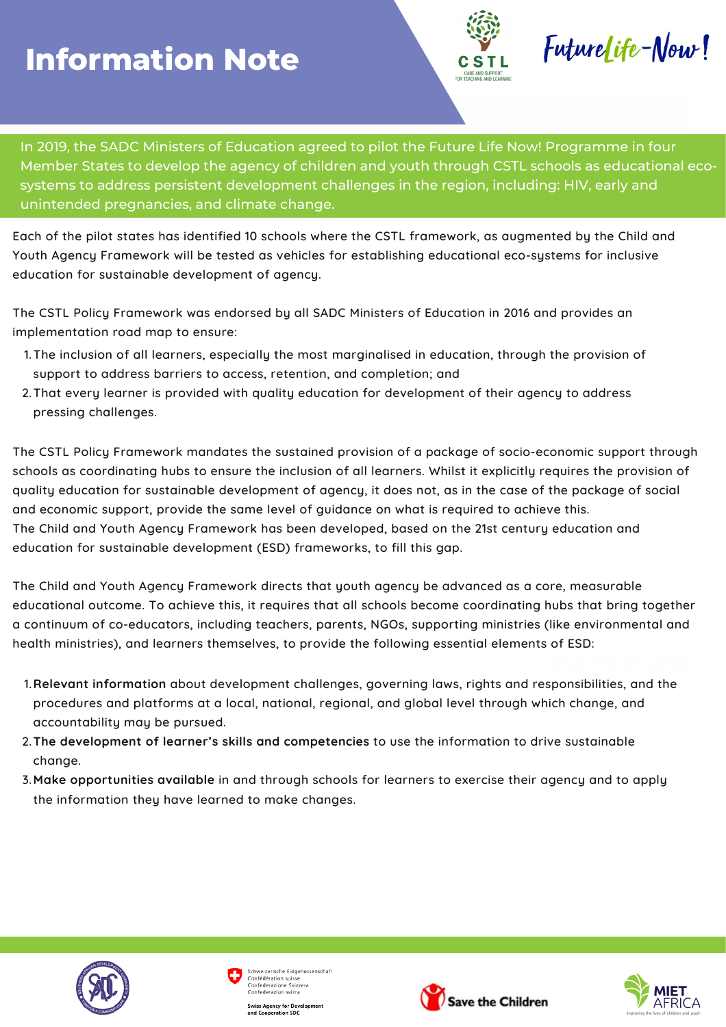## **Information Note**



FutureLife-Now!

In 2019, the SADC Ministers of Education agreed to pilot the Future Life Now! Programme in four Member States to develop the agency of children and youth through CSTL schools as educational eco systems to address persistent development challenges in the region, including: HIV, early and unintended pregnancies, and climate change.

Each of the pilot states has identified 10 schools where the CSTL framework, as augmented by the Child and Youth Agency Framework will be tested as vehicles for establishing educational eco-systems for inclusive education for sustainable development of agency.

The CSTL Policy Framework was endorsed by all SADC Ministers of Education in 2016 and provides an implementation road map to ensure:

- The inclusion of all learners, especially the most marginalised in education, through the provision of 1. support to address barriers to access, retention, and completion; and
- That every learner is provided with quality education for development of their agency to address 2. pressing challenges.

The CSTL Policy Framework mandates the sustained provision of a package of socio-economic support through schools as coordinating hubs to ensure the inclusion of all learners. Whilst it explicitly requires the provision of quality education for sustainable development of agency, it does not, as in the case of the package of social and economic support, provide the same level of guidance on what is required to achieve this. The Child and Youth Agency Framework has been developed, based on the 21st century education and education for sustainable development (ESD) frameworks, to fill this gap.

The Child and Youth Agency Framework directs that youth agency be advanced as a core, measurable educational outcome. To achieve this, it requires that all schools become coordinating hubs that bring together a continuum of co-educators, including teachers, parents, NGOs, supporting ministries (like environmental and health ministries), and learners themselves, to provide the following essential elements of ESD:

- **Relevant information** about development challenges, governing laws, rights and responsibilities, and the 1. procedures and platforms at a local, national, regional, and global level through which change, and accountability may be pursued.
- **The development of learner's skills and competencies** to use the information to drive sustainable 2. change.
- **Make opportunities available** in and through schools for learners to exercise their agency and to apply 3.the information they have learned to make changes.